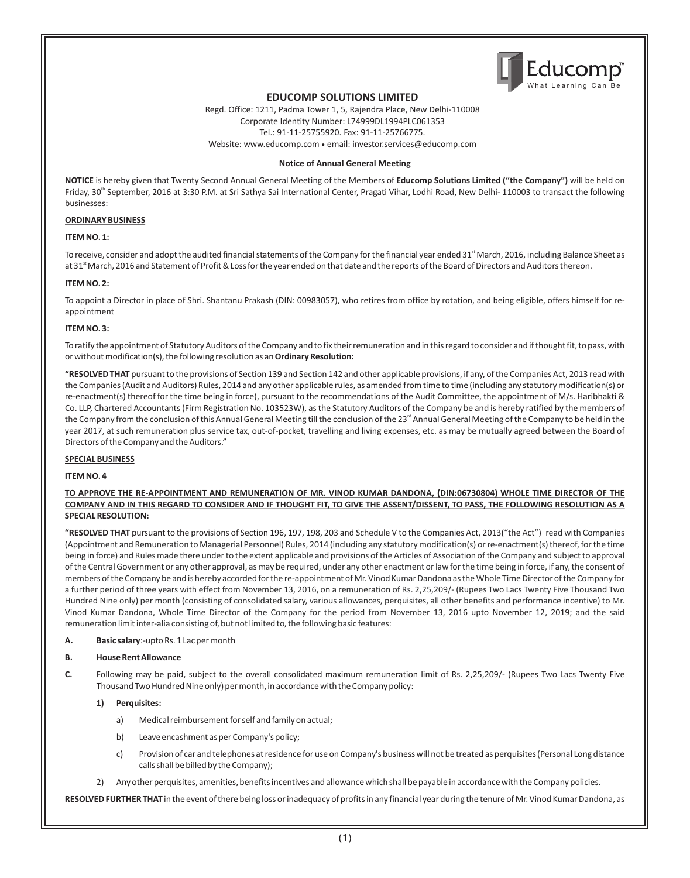

# **EDUCOMP SOLUTIONS LIMITED**

Regd. Office: 1211, Padma Tower 1, 5, Rajendra Place, New Delhi-110008 Corporate Identity Number: L74999DL1994PLC061353 Tel.: 91-11-25755920. Fax: 91-11-25766775. Website: www.educomp.com ● email: investor.services@educomp.com

#### **Notice of Annual General Meeting**

**NOTICE** is hereby given that Twenty Second Annual General Meeting of the Members of **Educomp Solutions Limited ("the Company")** will be held on Friday, 30<sup>th</sup> September, 2016 at 3:30 P.M. at Sri Sathya Sai International Center, Pragati Vihar, Lodhi Road, New Delhi- 110003 to transact the following businesses:

#### **ORDINARY BUSINESS**

#### **ITEM NO. 1:**

To receive, consider and adopt the audited financial statements of the Company for the financial year ended 31<sup>st</sup> March, 2016, including Balance Sheet as at 31<sup>st</sup> March, 2016 and Statement of Profit & Loss for the year ended on that date and the reports of the Board of Directors and Auditors thereon.

#### **ITEM NO. 2:**

To appoint a Director in place of Shri. Shantanu Prakash (DIN: 00983057), who retires from office by rotation, and being eligible, offers himself for reappointment

#### **ITEM NO. 3:**

To ratify the appointment of Statutory Auditors of the Company and to fix their remuneration and in this regard to consider and if thought fit, to pass, with or without modification(s), the following resolution as an **Ordinary Resolution:**

**"RESOLVED THAT** pursuant to the provisions of Section 139 and Section 142 and other applicable provisions, if any, of the Companies Act, 2013 read with the Companies (Audit and Auditors) Rules, 2014 and any other applicable rules, as amended from time to time (including any statutory modification(s) or re-enactment(s) thereof for the time being in force), pursuant to the recommendations of the Audit Committee, the appointment of M/s. Haribhakti & Co. LLP, Chartered Accountants (Firm Registration No. 103523W), as the Statutory Auditors of the Company be and is hereby ratified by the members of the Company from the conclusion of this Annual General Meeting till the conclusion of the 23<sup>rd</sup> Annual General Meeting of the Company to be held in the year 2017, at such remuneration plus service tax, out-of-pocket, travelling and living expenses, etc. as may be mutually agreed between the Board of Directors of the Company and the Auditors."

#### **SPECIAL BUSINESS**

#### **ITEM NO. 4**

#### **TO APPROVE THE RE-APPOINTMENT AND REMUNERATION OF MR. VINOD KUMAR DANDONA, (DIN:06730804) WHOLE TIME DIRECTOR OF THE COMPANY AND IN THIS REGARD TO CONSIDER AND IF THOUGHT FIT, TO GIVE THE ASSENT/DISSENT, TO PASS, THE FOLLOWING RESOLUTION AS A SPECIAL RESOLUTION:**

"RESOLVED THAT pursuant to the provisions of Section 196, 197, 198, 203 and Schedule V to the Companies Act, 2013("the Act") read with Companies Vinod Kumar Dandona, Whole Time Director of the Company for the period from November 13, 2016 upto November 12, 2019; and the said (Appointment and Remuneration to Managerial Personnel) Rules, 2014 (including any statutory modification(s) or re-enactment(s) thereof, for the time being in force) and Rules made there under to the extent applicable and provisions of the Articles of Association of the Company and subject to approval of the Central Government or any other approval, as may be required, under any other enactment or law for the time being in force, if any, the consent of members of the Company be and is hereby accorded for the re-appointment of Mr. Vinod Kumar Dandona as the Whole Time Director of the Company for a further period of three years with effect from November 13, 2016, on a remuneration of Rs. 2,25,209/- (Rupees Two Lacs Twenty Five Thousand Two Hundred Nine only) per month (consisting of consolidated salary, various allowances, perquisites, all other benefits and performance incentive) to Mr. remuneration limit inter-alia consisting of, but not limited to, the following basic features:

**A. Basic salary**:-upto Rs. 1 Lac per month

#### **B. House Rent Allowance**

**C.** Following may be paid, subject to the overall consolidated maximum remuneration limit of Rs. 2,25,209/- (Rupees Two Lacs Twenty Five Thousand Two Hundred Nine only) per month, in accordance with the Company policy:

#### **1) Perquisites:**

- a) Medical reimbursement for self and family on actual;
- b) Leave encashment as per Company's policy;
- c) Provision of car and telephones at residence for use on Company's business will not be treated as perquisites (Personal Long distance calls shall be billed by the Company);
- 2) Any other perquisites, amenities, benefits incentives and allowance which shall be payable in accordance with the Company policies.

**RESOLVED FURTHER THAT** in the event of there being loss or inadequacy of profits in any financial year during the tenure of Mr. Vinod Kumar Dandona, as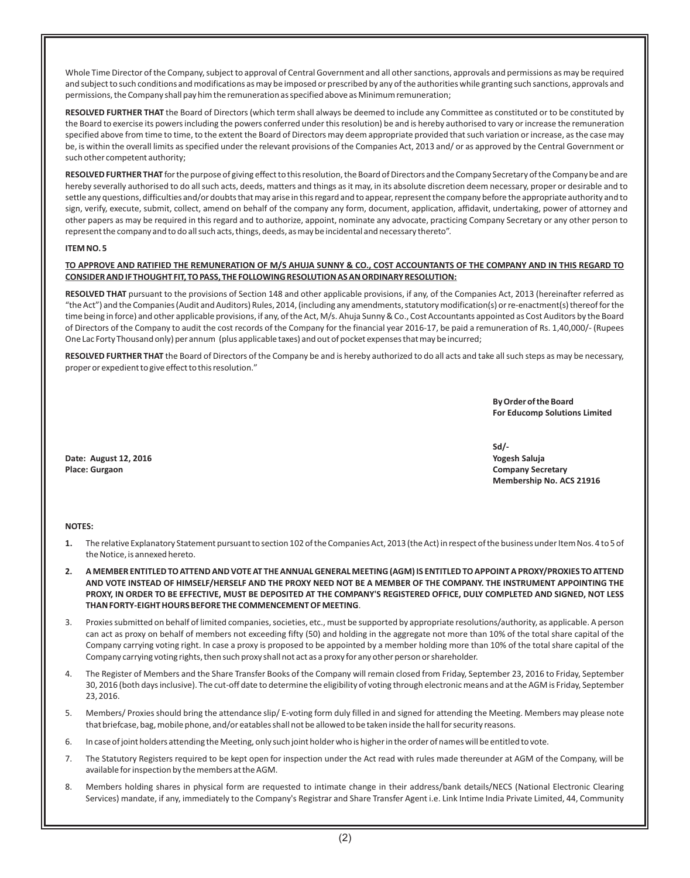Whole Time Director of the Company, subject to approval of Central Government and all other sanctions, approvals and permissions as may be required and subject to such conditions and modifications as may be imposed or prescribed by any of the authorities while granting such sanctions, approvals and permissions, the Company shall pay him the remuneration as specified above as Minimum remuneration;

**RESOLVED FURTHER THAT** the Board of Directors (which term shall always be deemed to include any Committee as constituted or to be constituted by the Board to exercise its powers including the powers conferred under this resolution) be and is hereby authorised to vary or increase the remuneration specified above from time to time, to the extent the Board of Directors may deem appropriate provided that such variation or increase, as the case may be, is within the overall limits as specified under the relevant provisions of the Companies Act, 2013 and/ or as approved by the Central Government or such other competent authority;

**RESOLVED FURTHER THAT** for the purpose of giving effect to this resolution, the Board of Directors and the Company Secretary of the Company be and are hereby severally authorised to do all such acts, deeds, matters and things as it may, in its absolute discretion deem necessary, proper or desirable and to settle any questions, difficulties and/or doubts that may arise in this regard and to appear, represent the company before the appropriate authority and to sign, verify, execute, submit, collect, amend on behalf of the company any form, document, application, affidavit, undertaking, power of attorney and other papers as may be required in this regard and to authorize, appoint, nominate any advocate, practicing Company Secretary or any other person to represent the company and to do all such acts, things, deeds, as may be incidental and necessary thereto".

#### **ITEM NO. 5**

#### **TO APPROVE AND RATIFIED THE REMUNERATION OF M/S AHUJA SUNNY & CO., COST ACCOUNTANTS OF THE COMPANY AND IN THIS REGARD TO CONSIDER AND IF THOUGHT FIT, TO PASS, THE FOLLOWING RESOLUTION AS AN ORDINARY RESOLUTION:**

**RESOLVED THAT** pursuant to the provisions of Section 148 and other applicable provisions, if any, of the Companies Act, 2013 (hereinafter referred as "the Act") and the Companies (Audit and Auditors) Rules, 2014, (including any amendments, statutory modification(s) or re-enactment(s) thereof for the time being in force) and other applicable provisions, if any, of the Act, M/s. Ahuja Sunny & Co., Cost Accountants appointed as Cost Auditors by the Board of Directors of the Company to audit the cost records of the Company for the financial year 2016-17, be paid a remuneration of Rs. 1,40,000/- (Rupees One Lac Forty Thousand only) per annum (plus applicable taxes) and out of pocket expenses that may be incurred;

**RESOLVED FURTHER THAT** the Board of Directors of the Company be and is hereby authorized to do all acts and take all such steps as may be necessary, proper or expedient to give effect to this resolution."

> **By Order of the Board For Educomp Solutions Limited**

**Date: August 12, 2016 Yogesh Saluja Place: Gurgaon Company Secretary**

**Sd/- Membership No. ACS 21916** 

#### **NOTES:**

- **1.** The relative Explanatory Statement pursuant to section 102 of the Companies Act, 2013 (the Act) in respect of the business under Item Nos. 4 to 5 of the Notice, is annexed hereto.
- **2. A MEMBER ENTITLED TO ATTEND AND VOTE AT THE ANNUAL GENERAL MEETING (AGM) IS ENTITLED TO APPOINT A PROXY/PROXIES TO ATTEND AND VOTE INSTEAD OF HIMSELF/HERSELF AND THE PROXY NEED NOT BE A MEMBER OF THE COMPANY. THE INSTRUMENT APPOINTING THE PROXY, IN ORDER TO BE EFFECTIVE, MUST BE DEPOSITED AT THE COMPANY'S REGISTERED OFFICE, DULY COMPLETED AND SIGNED, NOT LESS THAN FORTY-EIGHT HOURS BEFORE THE COMMENCEMENT OF MEETING**.
- 3. Proxies submitted on behalf of limited companies, societies, etc., must be supported by appropriate resolutions/authority, as applicable. A person can act as proxy on behalf of members not exceeding fifty (50) and holding in the aggregate not more than 10% of the total share capital of the Company carrying voting right. In case a proxy is proposed to be appointed by a member holding more than 10% of the total share capital of the Company carrying voting rights, then such proxy shall not act as a proxy for any other person or shareholder.
- 4. The Register of Members and the Share Transfer Books of the Company will remain closed from Friday, September 23, 2016 to Friday, September 30, 2016 (both days inclusive). The cut-off date to determine the eligibility of voting through electronic means and at the AGM is Friday, September 23, 2016.
- 5. Members/ Proxies should bring the attendance slip/ E-voting form duly filled in and signed for attending the Meeting. Members may please note that briefcase, bag, mobile phone, and/or eatables shall not be allowed to be taken inside the hall for security reasons.
- 6. In case of joint holders attending the Meeting, only such joint holder who is higher in the order of names will be entitled to vote.
- 7. The Statutory Registers required to be kept open for inspection under the Act read with rules made thereunder at AGM of the Company, will be available for inspection by the members at the AGM.
- 8. Members holding shares in physical form are requested to intimate change in their address/bank details/NECS (National Electronic Clearing Services) mandate, if any, immediately to the Company's Registrar and Share Transfer Agent i.e. Link Intime India Private Limited, 44, Community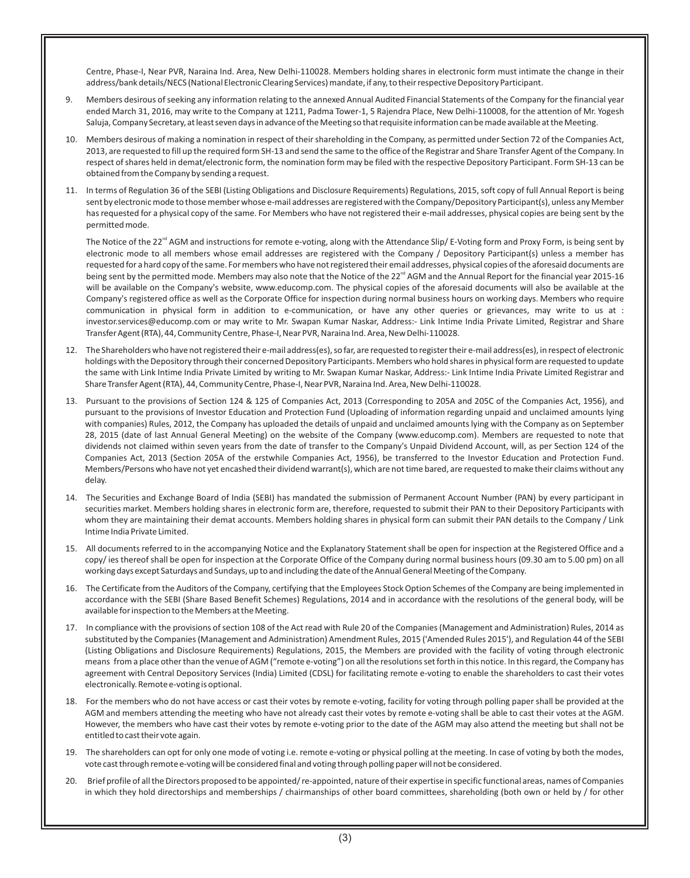Centre, Phase-I, Near PVR, Naraina Ind. Area, New Delhi-110028. Members holding shares in electronic form must intimate the change in their address/bank details/NECS (National Electronic Clearing Services) mandate, if any, to their respective Depository Participant.

- 9. Members desirous of seeking any information relating to the annexed Annual Audited Financial Statements of the Company for the financial year ended March 31, 2016, may write to the Company at 1211, Padma Tower-1, 5 Rajendra Place, New Delhi-110008, for the attention of Mr. Yogesh Saluja, Company Secretary, at least seven days in advance of the Meeting so that requisite information can be made available at the Meeting.
- 10. Members desirous of making a nomination in respect of their shareholding in the Company, as permitted under Section 72 of the Companies Act, 2013, are requested to fill up the required form SH-13 and send the same to the office of the Registrar and Share Transfer Agent of the Company. In respect of shares held in demat/electronic form, the nomination form may be filed with the respective Depository Participant. Form SH-13 can be obtained from the Company by sending a request.
- 11. In terms of Regulation 36 of the SEBI (Listing Obligations and Disclosure Requirements) Regulations, 2015, soft copy of full Annual Report is being sent by electronic mode to those member whose e-mail addresses are registered with the Company/Depository Participant(s), unless any Member has requested for a physical copy of the same. For Members who have not registered their e-mail addresses, physical copies are being sent by the permitted mode.

The Notice of the 22<sup>nd</sup> AGM and instructions for remote e-voting, along with the Attendance Slip/ E-Voting form and Proxy Form, is being sent by electronic mode to all members whose email addresses are registered with the Company / Depository Participant(s) unless a member has requested for a hard copy of the same. For members who have not registered their email addresses, physical copies of the aforesaid documents are being sent by the permitted mode. Members may also note that the Notice of the 22<sup>nd</sup> AGM and the Annual Report for the financial year 2015-16 will be available on the Company's website, www.educomp.com. The physical copies of the aforesaid documents will also be available at the Company's registered office as well as the Corporate Office for inspection during normal business hours on working days. Members who require communication in physical form in addition to e-communication, or have any other queries or grievances, may write to us at : investor.services@educomp.com or may write to Mr. Swapan Kumar Naskar, Address:- Link Intime India Private Limited, Registrar and Share Transfer Agent (RTA), 44, Community Centre, Phase-I, Near PVR, Naraina Ind. Area, New Delhi-110028.

- 12. The Shareholders who have not registered their e-mail address(es), so far, are requested to register their e-mail address(es), in respect of electronic holdings with the Depository through their concerned Depository Participants. Members who hold shares in physical form are requested to update the same with Link Intime India Private Limited by writing to Mr. Swapan Kumar Naskar, Address:- Link Intime India Private Limited Registrar and Share Transfer Agent (RTA), 44, Community Centre, Phase-I, Near PVR, Naraina Ind. Area, New Delhi-110028.
- 13. Pursuant to the provisions of Section 124 & 125 of Companies Act, 2013 (Corresponding to 205A and 205C of the Companies Act, 1956), and pursuant to the provisions of Investor Education and Protection Fund (Uploading of information regarding unpaid and unclaimed amounts lying with companies) Rules, 2012, the Company has uploaded the details of unpaid and unclaimed amounts lying with the Company as on September 28, 2015 (date of last Annual General Meeting) on the website of the Company (www.educomp.com). Members are requested to note that dividends not claimed within seven years from the date of transfer to the Company's Unpaid Dividend Account, will, as per Section 124 of the Companies Act, 2013 (Section 205A of the erstwhile Companies Act, 1956), be transferred to the Investor Education and Protection Fund. Members/Persons who have not yet encashed their dividend warrant(s), which are not time bared, are requested to make their claims without any delay.
- 14. The Securities and Exchange Board of India (SEBI) has mandated the submission of Permanent Account Number (PAN) by every participant in securities market. Members holding shares in electronic form are, therefore, requested to submit their PAN to their Depository Participants with whom they are maintaining their demat accounts. Members holding shares in physical form can submit their PAN details to the Company / Link Intime India Private Limited.
- 15. All documents referred to in the accompanying Notice and the Explanatory Statement shall be open for inspection at the Registered Office and a copy/ ies thereof shall be open for inspection at the Corporate Office of the Company during normal business hours (09.30 am to 5.00 pm) on all working days except Saturdays and Sundays, up to and including the date of the Annual General Meeting of the Company.
- 16. The Certificate from the Auditors of the Company, certifying that the Employees Stock Option Schemes of the Company are being implemented in accordance with the SEBI (Share Based Benefit Schemes) Regulations, 2014 and in accordance with the resolutions of the general body, will be available for inspection to the Members at the Meeting.
- 17. In compliance with the provisions of section 108 of the Act read with Rule 20 of the Companies (Management and Administration) Rules, 2014 as substituted by the Companies (Management and Administration) Amendment Rules, 2015 ('Amended Rules 2015'), and Regulation 44 of the SEBI (Listing Obligations and Disclosure Requirements) Regulations, 2015, the Members are provided with the facility of voting through electronic means from a place other than the venue of AGM ("remote e-voting") on all the resolutions set forth in this notice. In this regard, the Company has agreement with Central Depository Services (India) Limited (CDSL) for facilitating remote e-voting to enable the shareholders to cast their votes electronically. Remote e-voting is optional.
- 18. For the members who do not have access or cast their votes by remote e-voting, facility for voting through polling paper shall be provided at the AGM and members attending the meeting who have not already cast their votes by remote e-voting shall be able to cast their votes at the AGM. However, the members who have cast their votes by remote e-voting prior to the date of the AGM may also attend the meeting but shall not be entitled to cast their vote again.
- 19. The shareholders can opt for only one mode of voting i.e. remote e-voting or physical polling at the meeting. In case of voting by both the modes, vote cast through remote e-voting will be considered final and voting through polling paper will not be considered.
- 20. Brief profile of all the Directors proposed to be appointed/ re-appointed, nature of their expertise in specific functional areas, names of Companies in which they hold directorships and memberships / chairmanships of other board committees, shareholding (both own or held by / for other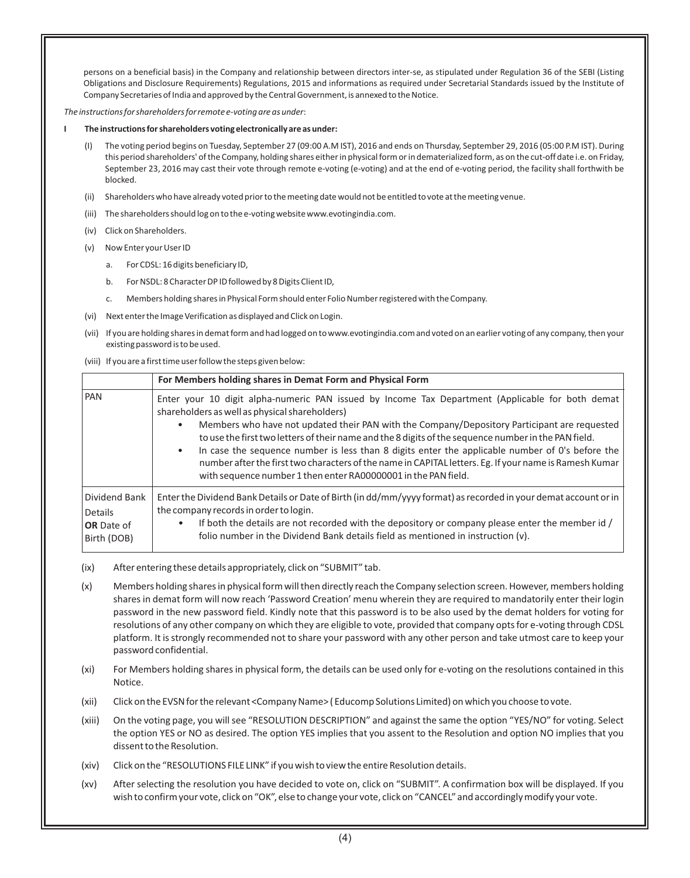persons on a beneficial basis) in the Company and relationship between directors inter-se, as stipulated under Regulation 36 of the SEBI (Listing Obligations and Disclosure Requirements) Regulations, 2015 and informations as required under Secretarial Standards issued by the Institute of Company Secretaries of India and approved by the Central Government, is annexed to the Notice.

*The instructions for shareholders for remote e-voting are as under*:

#### **I The instructions for shareholders voting electronically areas under:**

- The voting period begins on Tuesday, September 27 (09:00 A.M IST), 2016 and ends on Thursday, September 29, 2016 (05:00 P.M IST). During this period shareholders' of the Company, holding shares either in physical form or in dematerialized form, as on the cut-off date i.e. on Friday, September 23, 2016 may cast their vote through remote e-voting (e-voting) and at the end of e-voting period, the facility shall forthwith be blocked.
- (ii) Shareholders who have already voted prior to the meeting date would not be entitled to vote at the meeting venue.
- (iii) The shareholders should log on to the e-voting website www.evotingindia.com.
- (iv) Click on Shareholders.
- (v) Now Enter your User ID
	- a. For CDSL: 16 digits beneficiary ID,
	- b. For NSDL: 8 Character DP ID followed by 8 Digits Client ID,
	- c. Members holding shares in Physical Form should enter Folio Number registered with the Company.
- (vi) Next enter the Image Verification as displayed and Click on Login.
- (vii) If you are holding shares in demat form and had logged on to www.evotingindia.com and voted on an earlier voting of any company, then your existing password is to be used.
- (viii) If you are a first time user follow the steps given below:

|                                                              | For Members holding shares in Demat Form and Physical Form                                                                                                                                                                                                                                                                                                                                                                                                                                                                                                                                                                                                  |
|--------------------------------------------------------------|-------------------------------------------------------------------------------------------------------------------------------------------------------------------------------------------------------------------------------------------------------------------------------------------------------------------------------------------------------------------------------------------------------------------------------------------------------------------------------------------------------------------------------------------------------------------------------------------------------------------------------------------------------------|
| <b>PAN</b>                                                   | Enter your 10 digit alpha-numeric PAN issued by Income Tax Department (Applicable for both demat<br>shareholders as well as physical shareholders)<br>Members who have not updated their PAN with the Company/Depository Participant are requested<br>٠<br>to use the first two letters of their name and the 8 digits of the sequence number in the PAN field.<br>In case the sequence number is less than 8 digits enter the applicable number of 0's before the<br>$\bullet$<br>number after the first two characters of the name in CAPITAL letters. Eg. If your name is Ramesh Kumar<br>with sequence number 1 then enter RA00000001 in the PAN field. |
| Dividend Bank<br>Details<br><b>OR</b> Date of<br>Birth (DOB) | Enter the Dividend Bank Details or Date of Birth (in dd/mm/yyyy format) as recorded in your demat account or in<br>the company records in order to login.<br>If both the details are not recorded with the depository or company please enter the member id /<br>$\bullet$<br>folio number in the Dividend Bank details field as mentioned in instruction (v).                                                                                                                                                                                                                                                                                              |

- (ix) After entering these details appropriately, click on "SUBMIT" tab.
- (x) Members holding shares in physical form will then directly reach the Company selection screen. However, members holding shares in demat form will now reach 'Password Creation' menu wherein they are required to mandatorily enter their login password in the new password field. Kindly note that this password is to be also used by the demat holders for voting for resolutions of any other company on which they are eligible to vote, provided that company opts for e-voting through CDSL platform. It is strongly recommended not to share your password with any other person and take utmost care to keep your password confidential.
- (xi) For Members holding shares in physical form, the details can be used only for e-voting on the resolutions contained in this Notice.
- (xii) Click on the EVSN for the relevant <Company Name> ( Educomp Solutions Limited) on which you choose to vote.
- (xiii) On the voting page, you will see "RESOLUTION DESCRIPTION" and against the same the option "YES/NO" for voting. Select the option YES or NO as desired. The option YES implies that you assent to the Resolution and option NO implies that you dissent to the Resolution.
- (xiv) Click on the "RESOLUTIONS FILE LINK" if you wish to view the entire Resolution details.
- (xv) After selecting the resolution you have decided to vote on, click on "SUBMIT". A confirmation box will be displayed. If you wish to confirm your vote, click on "OK", else to change your vote, click on "CANCEL" and accordingly modify your vote.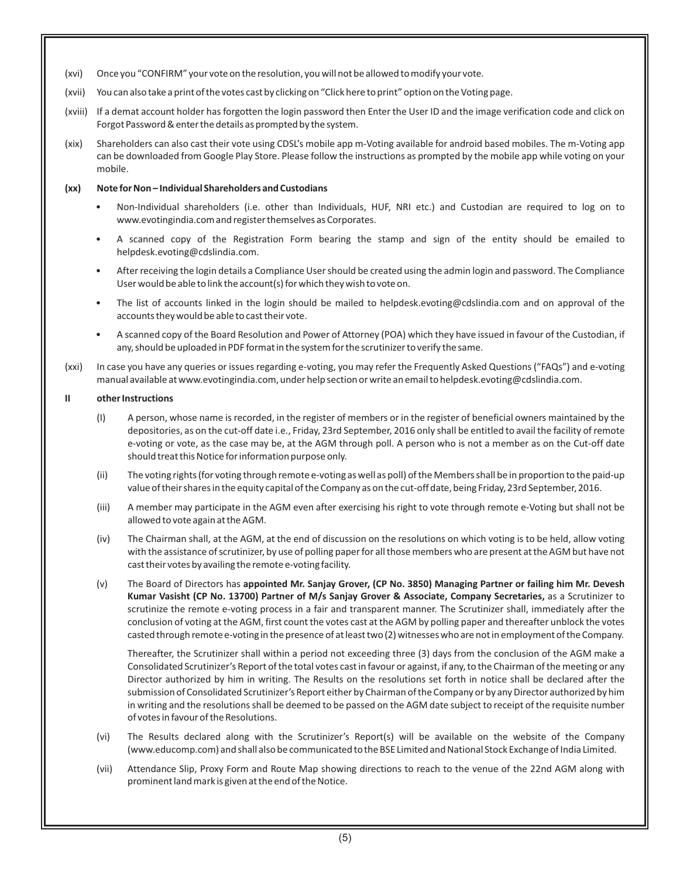- (xvi) Once you "CONFIRM" your vote on the resolution, you will not be allowed to modify your vote.
- (xvii) You can also take a print of the votes cast by clicking on "Click here to print" option on the Voting page.
- (xviii) If a demat account holder has forgotten the login password then Enter the User ID and the image verification code and click on Forgot Password & enter the details as prompted by the system.
- (xix) Shareholders can also cast their vote using CDSL's mobile app m-Voting available for android based mobiles. The m-Voting app can be downloaded from Google Play Store. Please follow the instructions as prompted by the mobile app while voting on your mobile.

# **(xx) Note for Non – Individual Shareholders and Custodians**

- Non-Individual shareholders (i.e. other than Individuals, HUF, NRI etc.) and Custodian are required to log on to www.evotingindia.com and register themselves as Corporates.
- A scanned copy of the Registration Form bearing the stamp and sign of the entity should be emailed to helpdesk.evoting@cdslindia.com.
- After receiving the login details a Compliance User should be created using the admin login and password. The Compliance User would be able to link the account(s) for which they wish to vote on.
- The list of accounts linked in the login should be mailed to helpdesk.evoting@cdslindia.com and on approval of the accounts they would be able to cast their vote.
- A scanned copy of the Board Resolution and Power of Attorney (POA) which they have issued in favour of the Custodian, if any, should be uploaded in PDF format in the system for the scrutinizer to verify the same.
- (xxi) In case you have any queries or issues regarding e-voting, you may refer the Frequently Asked Questions ("FAQs") and e-voting manual available at www.evotingindia.com, under help section or write an email to helpdesk.evoting@cdslindia.com.

# **II other Instructions**

- (I) A person, whose name is recorded, in the register of members or in the register of beneficial owners maintained by the depositories, as on the cut-off date i.e., Friday, 23rd September, 2016 only shall be entitled to avail the facility of remote e-voting or vote, as the case may be, at the AGM through poll. A person who is not a member as on the Cut-off date should treat this Notice for information purpose only.
- (ii) The voting rights (for voting through remote e-voting as well as poll) of the Members shall be in proportion to the paid-up value of their shares in the equity capital of the Company as on the cut-off date, being Friday, 23rd September, 2016.
- (iii) A member may participate in the AGM even after exercising his right to vote through remote e-Voting but shall not be allowed to vote again at the AGM.
- (iv) The Chairman shall, at the AGM, at the end of discussion on the resolutions on which voting is to be held, allow voting with the assistance of scrutinizer, by use of polling paper for all those members who are present at the AGM but have not cast their votes by availing the remote e-voting facility.
- (v) The Board of Directors has **appointed Mr. Sanjay Grover, (CP No. 3850) Managing Partner or failing him Mr. Devesh Kumar Vasisht (CP No. 13700) Partner of M/s Sanjay Grover & Associate, Company Secretaries,** as a Scrutinizer to scrutinize the remote e-voting process in a fair and transparent manner. The Scrutinizer shall, immediately after the conclusion of voting at the AGM, first count the votes cast at the AGM by polling paper and thereafter unblock the votes casted through remotee-voting in the presence of at least two (2) witnesses who are not in employment of the Company.

Thereafter, the Scrutinizer shall within a period not exceeding three (3) days from the conclusion of the AGM make a Consolidated Scrutinizer's Report of the total votes cast in favour or against, if any, to the Chairman of the meeting or any Director authorized by him in writing. The Results on the resolutions set forth in notice shall be declared after the submission of Consolidated Scrutinizer's Report either by Chairman of the Company or by any Director authorized by him in writing and the resolutions shall be deemed to be passed on the AGM date subject to receipt of the requisite number of votes in favour of the Resolutions.

- (vi) The Results declared along with the Scrutinizer's Report(s) will be available on the website of the Company (www.educomp.com) and shall also be communicated to the BSE Limited and National Stock Exchange of India Limited.
- (vii) Attendance Slip, Proxy Form and Route Map showing directions to reach to the venue of the 22nd AGM along with prominent land mark is given at the end of the Notice.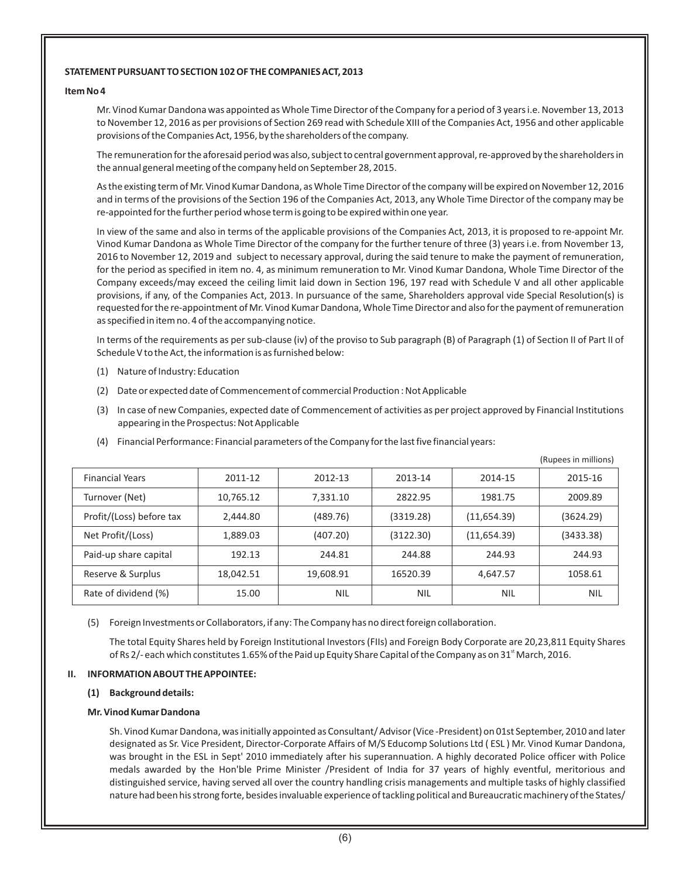# **STATEMENT PURSUANT TO SECTION 102 OF THE COMPANIES ACT, 2013**

#### **Item No 4**

Mr. Vinod Kumar Dandona was appointed as Whole Time Director of the Company for a period of 3 years i.e. November 13, 2013 to November 12, 2016 as per provisions of Section 269 read with Schedule XIII of the Companies Act, 1956 and other applicable provisions of the Companies Act, 1956, by the shareholders of the company.

The remuneration for the aforesaid period was also, subject to central government approval, re-approved by the shareholders in the annual general meeting of the company held on September 28, 2015.

As the existing term of Mr. Vinod Kumar Dandona, as Whole Time Director of the company will be expired on November 12, 2016 and in terms of the provisions of the Section 196 of the Companies Act, 2013, any Whole Time Director of the company may be re-appointed for the further period whose term is going to be expired within one year.

In view of the same and also in terms of the applicable provisions of the Companies Act, 2013, it is proposed to re-appoint Mr. Vinod Kumar Dandona as Whole Time Director of the company for the further tenure of three (3) years i.e. from November 13, 2016 to November 12, 2019 and subject to necessary approval, during the said tenure to make the payment of remuneration, for the period as specified in item no. 4, as minimum remuneration to Mr. Vinod Kumar Dandona, Whole Time Director of the Company exceeds/may exceed the ceiling limit laid down in Section 196, 197 read with Schedule V and all other applicable provisions, if any, of the Companies Act, 2013. In pursuance of the same, Shareholders approval vide Special Resolution(s) is requested for the re-appointment of Mr. Vinod Kumar Dandona, Whole Time Director and also for the payment of remuneration as specified in item no. 4 of the accompanying notice.

In terms of the requirements as per sub-clause (iv) of the proviso to Sub paragraph (B) of Paragraph (1) of Section II of Part II of Schedule V to the Act, the information is as furnished below:

- (1) Nature of Industry: Education
- (2) Date or expected date of Commencement of commercial Production : Not Applicable
- (3) In case of new Companies, expected date of Commencement of activities as per project approved by Financial Institutions appearing in the Prospectus: Not Applicable

|                          |           |            |            |             | (Rupees in millions) |
|--------------------------|-----------|------------|------------|-------------|----------------------|
| <b>Financial Years</b>   | 2011-12   | 2012-13    | 2013-14    | 2014-15     | 2015-16              |
| Turnover (Net)           | 10,765.12 | 7,331.10   | 2822.95    | 1981.75     | 2009.89              |
| Profit/(Loss) before tax | 2,444.80  | (489.76)   | (3319.28)  | (11,654.39) | (3624.29)            |
| Net Profit/(Loss)        | 1,889.03  | (407.20)   | (3122.30)  | (11,654.39) | (3433.38)            |
| Paid-up share capital    | 192.13    | 244.81     | 244.88     | 244.93      | 244.93               |
| Reserve & Surplus        | 18,042.51 | 19,608.91  | 16520.39   | 4,647.57    | 1058.61              |
| Rate of dividend (%)     | 15.00     | <b>NIL</b> | <b>NIL</b> | <b>NIL</b>  | <b>NIL</b>           |

(4) Financial Performance: Financial parameters of the Company for the last five financial years:

(5) Foreign Investments or Collaborators, if any: The Company has no direct foreign collaboration.

The total Equity Shares held by Foreign Institutional Investors (FIIs) and Foreign Body Corporate are 20,23,811 Equity Shares of Rs 2/- each which constitutes 1.65% of the Paid up Equity Share Capital of the Company as on 31<sup>st</sup> March, 2016.

#### **II. INFORMATION ABOUT THE APPOINTEE:**

#### **(1) Background details:**

#### **Mr. Vinod Kumar Dandona**

Sh. Vinod Kumar Dandona, was initially appointed as Consultant/ Advisor (Vice -President) on 01st September, 2010 and later designated as Sr. Vice President, Director-Corporate Affairs of M/S Educomp Solutions Ltd ( ESL ) Mr. Vinod Kumar Dandona, was brought in the ESL in Sept' 2010 immediately after his superannuation. A highly decorated Police officer with Police medals awarded by the Hon'ble Prime Minister /President of India for 37 years of highly eventful, meritorious and distinguished service, having served all over the country handling crisis managements and multiple tasks of highly classified nature had been his strong forte, besides invaluable experience of tackling political and Bureaucratic machinery of the States/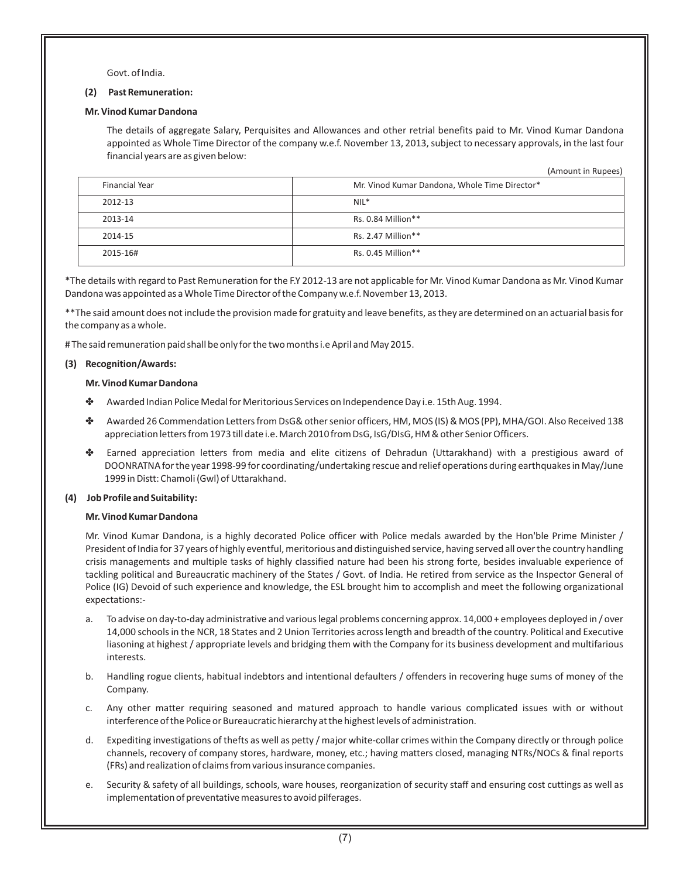Govt. of India.

#### **(2) Past Remuneration:**

#### **Mr. Vinod Kumar Dandona**

The details of aggregate Salary, Perquisites and Allowances and other retrial benefits paid to Mr. Vinod Kumar Dandona appointed as Whole Time Director of the company w.e.f. November 13, 2013, subject to necessary approvals, in the last four financial years are as given below:

(Amount in Rupees)

| <b>Financial Year</b> | Mr. Vinod Kumar Dandona, Whole Time Director* |
|-----------------------|-----------------------------------------------|
| 2012-13               | $NIL*$                                        |
| 2013-14               | Rs. 0.84 Million**                            |
| 2014-15               | Rs. 2.47 Million**                            |
| 2015-16#              | Rs. $0.45$ Million**                          |

\*The details with regard to Past Remuneration for the F.Y 2012-13 are not applicable for Mr. Vinod Kumar Dandona as Mr. Vinod Kumar Dandona was appointed as a Whole Time Director of the Company w.e.f. November 13, 2013.

\*\*The said amount does not include the provision made for gratuity and leave benefits, as they are determined on an actuarial basis for the company as a whole.

# The said remuneration paid shall be only for the two months i.e April and May 2015.

#### **(3) Recognition/Awards:**

# **Mr. Vinod Kumar Dandona**

- \* Awarded Indian Police Medal for Meritorious Services on Independence Day i.e. 15th Aug. 1994.
- D Awarded 26 Commendation Letters from DsG& other senior officers, HM, MOS (IS) & MOS (PP), MHA/GOI. Also Received 138 appreciation letters from 1973 till date i.e. March 2010 from DsG, IsG/DIsG, HM & other Senior Officers.
- D Earned appreciation letters from media and elite citizens of Dehradun (Uttarakhand) with a prestigious award of DOONRATNA for the year 1998-99 for coordinating/undertaking rescue and relief operations during earthquakes in May/June 1999 in Distt: Chamoli (Gwl) of Uttarakhand.

# **(4) Job Profile and Suitability:**

#### **Mr. Vinod Kumar Dandona**

Mr. Vinod Kumar Dandona, is a highly decorated Police officer with Police medals awarded by the Hon'ble Prime Minister / President of India for 37 years of highly eventful, meritorious and distinguished service, having served all over the country handling crisis managements and multiple tasks of highly classified nature had been his strong forte, besides invaluable experience of tackling political and Bureaucratic machinery of the States / Govt. of India. He retired from service as the Inspector General of Police (IG) Devoid of such experience and knowledge, the ESL brought him to accomplish and meet the following organizational expectations:-

- To advise on day-to-day administrative and various legal problems concerning approx. 14,000 + employees deployed in / over 14,000 schools in the NCR, 18 States and 2 Union Territories across length and breadth of the country. Political and Executive liasoning at highest / appropriate levels and bridging them with the Company for its business development and multifarious interests.
- b. Handling rogue clients, habitual indebtors and intentional defaulters / offenders in recovering huge sums of money of the Company.
- c. Any other matter requiring seasoned and matured approach to handle various complicated issues with or without interference of the Police or Bureaucratic hierarchy at the highest levels of administration.
- d. Expediting investigations of thefts as well as petty / major white-collar crimes within the Company directly or through police channels, recovery of company stores, hardware, money, etc.; having matters closed, managing NTRs/NOCs & final reports (FRs) and realization of claims from various insurance companies.
- e. Security & safety of all buildings, schools, ware houses, reorganization of security staff and ensuring cost cuttings as well as implementation of preventative measures to avoid pilferages.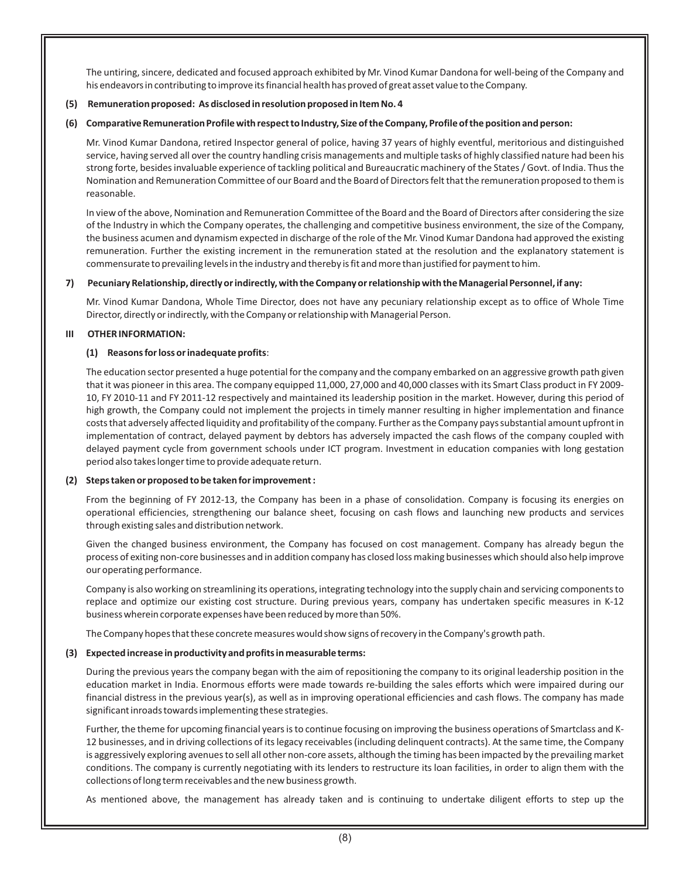The untiring, sincere, dedicated and focused approach exhibited by Mr. Vinod Kumar Dandona for well-being of the Company and his endeavors in contributing to improve its financial health has proved of great asset value to the Company.

# **(5) Remuneration proposed: As disclosed in resolution proposed in Item No. 4**

# **(6) Comparative Remuneration Profile with respect to Industry, Size of the Company, Profile of the position and person:**

Mr. Vinod Kumar Dandona, retired Inspector general of police, having 37 years of highly eventful, meritorious and distinguished service, having served all over the country handling crisis managements and multiple tasks of highly classified nature had been his strong forte, besides invaluable experience of tackling political and Bureaucratic machinery of the States / Govt. of India. Thus the Nomination and Remuneration Committee of our Board and the Board of Directors felt that the remuneration proposed to them is reasonable.

In view of the above, Nomination and Remuneration Committee of the Board and the Board of Directors after considering the size of the Industry in which the Company operates, the challenging and competitive business environment, the size of the Company, the business acumen and dynamism expected in discharge of the role of the Mr. Vinod Kumar Dandona had approved the existing remuneration. Further the existing increment in the remuneration stated at the resolution and the explanatory statement is commensurate to prevailing levels in the industry and thereby is fit and more than justified for payment to him.

# **7) Pecuniary Relationship, directly or indirectly, with the Company or relationship with the Managerial Personnel, if any:**

Mr. Vinod Kumar Dandona, Whole Time Director, does not have any pecuniary relationship except as to office of Whole Time Director, directly or indirectly, with the Company or relationship with Managerial Person.

# **III OTHER INFORMATION:**

# **(1) Reasons for loss or inadequate profits**:

The education sector presented a huge potential for the company and the company embarked on an aggressive growth path given that it was pioneer in this area. The company equipped 11,000, 27,000 and 40,000 classes with its Smart Class product in FY 2009- 10, FY 2010-11 and FY 2011-12 respectively and maintained its leadership position in the market. However, during this period of high growth, the Company could not implement the projects in timely manner resulting in higher implementation and finance costs that adversely affected liquidity and profitability of the company. Further as the Company pays substantial amount upfront in implementation of contract, delayed payment by debtors has adversely impacted the cash flows of the company coupled with delayed payment cycle from government schools under ICT program. Investment in education companies with long gestation period also takes longer time to provide adequate return.

#### **(2) Steps taken or proposed to be taken for improvement :**

From the beginning of FY 2012-13, the Company has been in a phase of consolidation. Company is focusing its energies on operational efficiencies, strengthening our balance sheet, focusing on cash flows and launching new products and services through existing sales and distribution network.

Given the changed business environment, the Company has focused on cost management. Company has already begun the process of exiting non-core businesses and in addition company has closed loss making businesses which should also help improve our operating performance.

Company is also working on streamlining its operations, integrating technology into the supply chain and servicing components to replace and optimize our existing cost structure. During previous years, company has undertaken specific measures in K-12 business wherein corporate expenses have been reduced by more than 50%.

The Company hopes that these concrete measures would show signs of recovery in the Company's growth path.

# **(3) Expected increase in productivity and profits in measurable terms:**

During the previous years the company began with the aim of repositioning the company to its original leadership position in the education market in India. Enormous efforts were made towards re-building the sales efforts which were impaired during our financial distress in the previous year(s), as well as in improving operational efficiencies and cash flows. The company has made significant inroads towards implementing these strategies.

Further, the theme for upcoming financial years is to continue focusing on improving the business operations of Smartclass and K-12 businesses, and in driving collections of its legacy receivables (including delinquent contracts). At the same time, the Company is aggressively exploring avenues to sell all other non-core assets, although the timing has been impacted by the prevailing market conditions. The company is currently negotiating with its lenders to restructure its loan facilities, in order to align them with the collections of long term receivables and the new business growth.

As mentioned above, the management has already taken and is continuing to undertake diligent efforts to step up the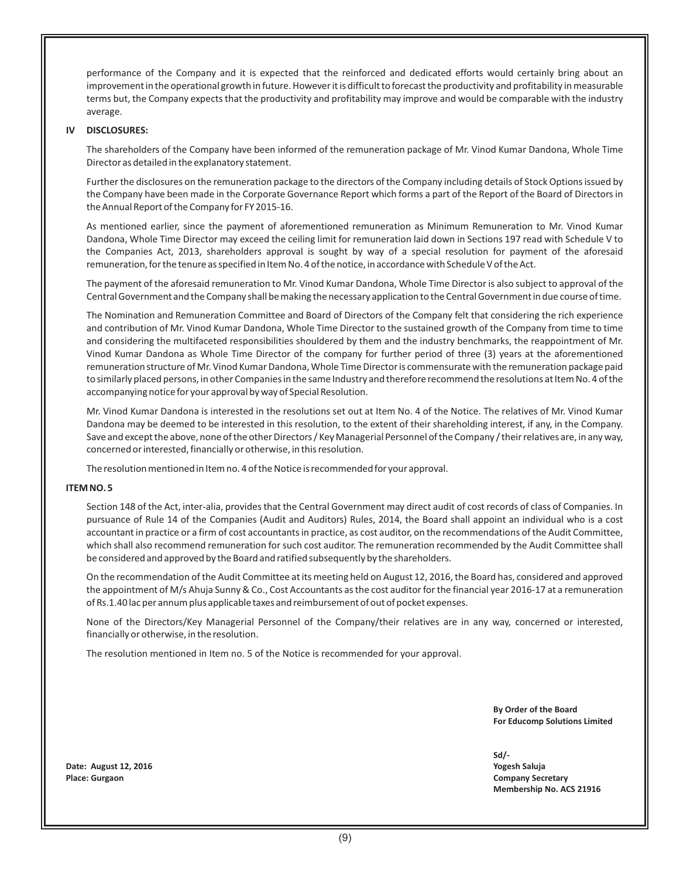performance of the Company and it is expected that the reinforced and dedicated efforts would certainly bring about an improvement in the operational growth in future. However it is difficult to forecast the productivity and profitability in measurable terms but, the Company expects that the productivity and profitability may improve and would be comparable with the industry average.

# **IV DISCLOSURES:**

The shareholders of the Company have been informed of the remuneration package of Mr. Vinod Kumar Dandona, Whole Time Director as detailed in the explanatory statement.

Further the disclosures on the remuneration package to the directors of the Company including details of Stock Options issued by the Company have been made in the Corporate Governance Report which forms a part of the Report of the Board of Directors in the Annual Report of the Company for FY 2015-16.

As mentioned earlier, since the payment of aforementioned remuneration as Minimum Remuneration to Mr. Vinod Kumar Dandona, Whole Time Director may exceed the ceiling limit for remuneration laid down in Sections 197 read with Schedule V to the Companies Act, 2013, shareholders approval is sought by way of a special resolution for payment of the aforesaid remuneration, for the tenure as specified in Item No. 4 of the notice, in accordance with Schedule V of the Act.

The payment of the aforesaid remuneration to Mr. Vinod Kumar Dandona, Whole Time Director is also subject to approval of the Central Government and the Company shall be making the necessary application to the Central Government in due course of time.

The Nomination and Remuneration Committee and Board of Directors of the Company felt that considering the rich experience and contribution of Mr. Vinod Kumar Dandona, Whole Time Director to the sustained growth of the Company from time to time and considering the multifaceted responsibilities shouldered by them and the industry benchmarks, the reappointment of Mr. Vinod Kumar Dandona as Whole Time Director of the company for further period of three (3) years at the aforementioned remuneration structure of Mr. Vinod Kumar Dandona, Whole Time Director is commensurate with the remuneration package paid to similarly placed persons, in other Companies in the same Industry and therefore recommend the resolutions at Item No. 4 of the accompanying notice for your approval by way of Special Resolution.

Mr. Vinod Kumar Dandona is interested in the resolutions set out at Item No. 4 of the Notice. The relatives of Mr. Vinod Kumar Dandona may be deemed to be interested in this resolution, to the extent of their shareholding interest, if any, in the Company. Save and except the above, none of the other Directors / Key Managerial Personnel of the Company / their relatives are, in any way, concerned or interested, financially or otherwise, in this resolution.

The resolution mentioned in Item no. 4 of the Notice is recommended for your approval.

#### **ITEM NO. 5**

Section 148 of the Act, inter-alia, provides that the Central Government may direct audit of cost records of class of Companies. In pursuance of Rule 14 of the Companies (Audit and Auditors) Rules, 2014, the Board shall appoint an individual who is a cost accountant in practice or a firm of cost accountants in practice, as cost auditor, on the recommendations of the Audit Committee, which shall also recommend remuneration for such cost auditor. The remuneration recommended by the Audit Committee shall be considered and approved by the Board and ratified subsequently by the shareholders.

On the recommendation of the Audit Committee at its meeting held on August 12, 2016, the Board has, considered and approved the appointment of M/s Ahuja Sunny & Co., Cost Accountants as the cost auditor for the financial year 2016-17 at a remuneration of Rs.1.40 lac per annum plus applicable taxes and reimbursement of out of pocket expenses.

None of the Directors/Key Managerial Personnel of the Company/their relatives are in any way, concerned or interested, financially or otherwise, in the resolution.

The resolution mentioned in Item no. 5 of the Notice is recommended for your approval.

 **By Order of the Board For Educomp Solutions Limited**

**Sd/- Membership No. ACS 21916**

**Date: August 12, 2016 Yogesh Saluja Place: Gurgaon Company Secretary**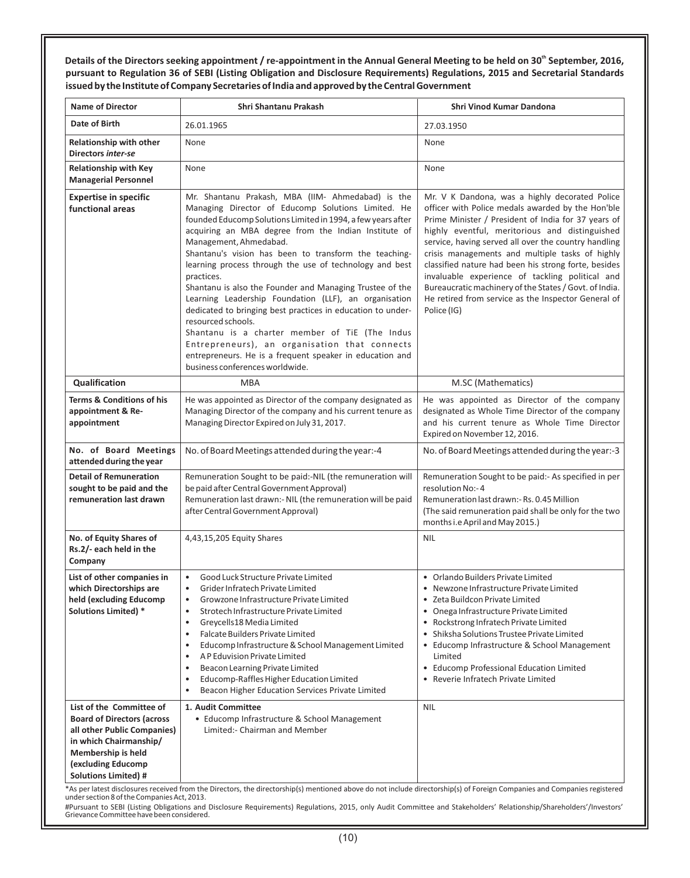Details of the Directors seeking appointment / re-appointment in the Annual General Meeting to be held on 30<sup>th</sup> September, 2016, **pursuant to Regulation 36 of SEBI (Listing Obligation and Disclosure Requirements) Regulations, 2015 and Secretarial Standards issued by the Institute of Company Secretaries of India and approved by the Central Government**

| <b>Name of Director</b>                                                                                                                                                                           | Shri Shantanu Prakash                                                                                                                                                                                                                                                                                                                                                                                                                                                                                                                                                                                                                                                                                                                                                                                   | Shri Vinod Kumar Dandona                                                                                                                                                                                                                                                                                                                                                                                                                                                                                                                                           |
|---------------------------------------------------------------------------------------------------------------------------------------------------------------------------------------------------|---------------------------------------------------------------------------------------------------------------------------------------------------------------------------------------------------------------------------------------------------------------------------------------------------------------------------------------------------------------------------------------------------------------------------------------------------------------------------------------------------------------------------------------------------------------------------------------------------------------------------------------------------------------------------------------------------------------------------------------------------------------------------------------------------------|--------------------------------------------------------------------------------------------------------------------------------------------------------------------------------------------------------------------------------------------------------------------------------------------------------------------------------------------------------------------------------------------------------------------------------------------------------------------------------------------------------------------------------------------------------------------|
| Date of Birth                                                                                                                                                                                     | 26.01.1965                                                                                                                                                                                                                                                                                                                                                                                                                                                                                                                                                                                                                                                                                                                                                                                              | 27.03.1950                                                                                                                                                                                                                                                                                                                                                                                                                                                                                                                                                         |
| <b>Relationship with other</b><br>Directors inter-se                                                                                                                                              | None                                                                                                                                                                                                                                                                                                                                                                                                                                                                                                                                                                                                                                                                                                                                                                                                    | None                                                                                                                                                                                                                                                                                                                                                                                                                                                                                                                                                               |
| <b>Relationship with Key</b><br><b>Managerial Personnel</b>                                                                                                                                       | None                                                                                                                                                                                                                                                                                                                                                                                                                                                                                                                                                                                                                                                                                                                                                                                                    | None                                                                                                                                                                                                                                                                                                                                                                                                                                                                                                                                                               |
| <b>Expertise in specific</b><br>functional areas                                                                                                                                                  | Mr. Shantanu Prakash, MBA (IIM- Ahmedabad) is the<br>Managing Director of Educomp Solutions Limited. He<br>founded Educomp Solutions Limited in 1994, a few years after<br>acquiring an MBA degree from the Indian Institute of<br>Management, Ahmedabad.<br>Shantanu's vision has been to transform the teaching-<br>learning process through the use of technology and best<br>practices.<br>Shantanu is also the Founder and Managing Trustee of the<br>Learning Leadership Foundation (LLF), an organisation<br>dedicated to bringing best practices in education to under-<br>resourced schools.<br>Shantanu is a charter member of TiE (The Indus<br>Entrepreneurs), an organisation that connects<br>entrepreneurs. He is a frequent speaker in education and<br>business conferences worldwide. | Mr. V K Dandona, was a highly decorated Police<br>officer with Police medals awarded by the Hon'ble<br>Prime Minister / President of India for 37 years of<br>highly eventful, meritorious and distinguished<br>service, having served all over the country handling<br>crisis managements and multiple tasks of highly<br>classified nature had been his strong forte, besides<br>invaluable experience of tackling political and<br>Bureaucratic machinery of the States / Govt. of India.<br>He retired from service as the Inspector General of<br>Police (IG) |
| Qualification                                                                                                                                                                                     | <b>MBA</b>                                                                                                                                                                                                                                                                                                                                                                                                                                                                                                                                                                                                                                                                                                                                                                                              | M.SC (Mathematics)                                                                                                                                                                                                                                                                                                                                                                                                                                                                                                                                                 |
| <b>Terms &amp; Conditions of his</b><br>appointment & Re-<br>appointment                                                                                                                          | He was appointed as Director of the company designated as<br>Managing Director of the company and his current tenure as<br>Managing Director Expired on July 31, 2017.                                                                                                                                                                                                                                                                                                                                                                                                                                                                                                                                                                                                                                  | He was appointed as Director of the company<br>designated as Whole Time Director of the company<br>and his current tenure as Whole Time Director<br>Expired on November 12, 2016.                                                                                                                                                                                                                                                                                                                                                                                  |
| No. of Board Meetings<br>attended during the year                                                                                                                                                 | No. of Board Meetings attended during the year:-4                                                                                                                                                                                                                                                                                                                                                                                                                                                                                                                                                                                                                                                                                                                                                       | No. of Board Meetings attended during the year:-3                                                                                                                                                                                                                                                                                                                                                                                                                                                                                                                  |
| <b>Detail of Remuneration</b><br>sought to be paid and the<br>remuneration last drawn                                                                                                             | Remuneration Sought to be paid:-NIL (the remuneration will<br>be paid after Central Government Approval)<br>Remuneration last drawn:- NIL (the remuneration will be paid<br>after Central Government Approval)                                                                                                                                                                                                                                                                                                                                                                                                                                                                                                                                                                                          | Remuneration Sought to be paid:- As specified in per<br>resolution No:-4<br>Remuneration last drawn: - Rs. 0.45 Million<br>(The said remuneration paid shall be only for the two<br>months i.e April and May 2015.)                                                                                                                                                                                                                                                                                                                                                |
| No. of Equity Shares of<br>Rs.2/- each held in the<br>Company                                                                                                                                     | 4,43,15,205 Equity Shares                                                                                                                                                                                                                                                                                                                                                                                                                                                                                                                                                                                                                                                                                                                                                                               | <b>NIL</b>                                                                                                                                                                                                                                                                                                                                                                                                                                                                                                                                                         |
| List of other companies in<br>which Directorships are<br>held (excluding Educomp<br><b>Solutions Limited)</b> *                                                                                   | Good Luck Structure Private Limited<br>$\bullet$<br>Grider Infratech Private Limited<br>$\bullet$<br>Growzone Infrastructure Private Limited<br>$\bullet$<br>Strotech Infrastructure Private Limited<br>٠<br>Greycells18 Media Limited<br>$\bullet$<br><b>Falcate Builders Private Limited</b><br>$\bullet$<br>Educomp Infrastructure & School Management Limited<br>A P Eduvision Private Limited<br>$\bullet$<br>Beacon Learning Private Limited<br>٠<br>Educomp-Raffles Higher Education Limited<br>$\bullet$<br>Beacon Higher Education Services Private Limited<br>$\bullet$                                                                                                                                                                                                                       | • Orlando Builders Private Limited<br>• Newzone Infrastructure Private Limited<br>• Zeta Buildcon Private Limited<br>• Onega Infrastructure Private Limited<br>• Rockstrong Infratech Private Limited<br>• Shiksha Solutions Trustee Private Limited<br>• Educomp Infrastructure & School Management<br>Limited<br>• Educomp Professional Education Limited<br>• Reverie Infratech Private Limited                                                                                                                                                                 |
| List of the Committee of<br><b>Board of Directors (across</b><br>all other Public Companies)<br>in which Chairmanship/<br>Membership is held<br>(excluding Educomp<br><b>Solutions Limited) #</b> | 1. Audit Committee<br>• Educomp Infrastructure & School Management<br>Limited:- Chairman and Member                                                                                                                                                                                                                                                                                                                                                                                                                                                                                                                                                                                                                                                                                                     | <b>NIL</b>                                                                                                                                                                                                                                                                                                                                                                                                                                                                                                                                                         |

\*As per latest disclosures received from the Directors, the directorship(s) mentioned above do not include directorship(s) of Foreign Companies and Companies registered under section 8 of the Companies Act, 2013.

#Pursuant to SEBI (Listing Obligations and Disclosure Requirements) Regulations, 2015, only Audit Committee and Stakeholders' Relationship/Shareholders'/Investors' Grievance Committee have been considered.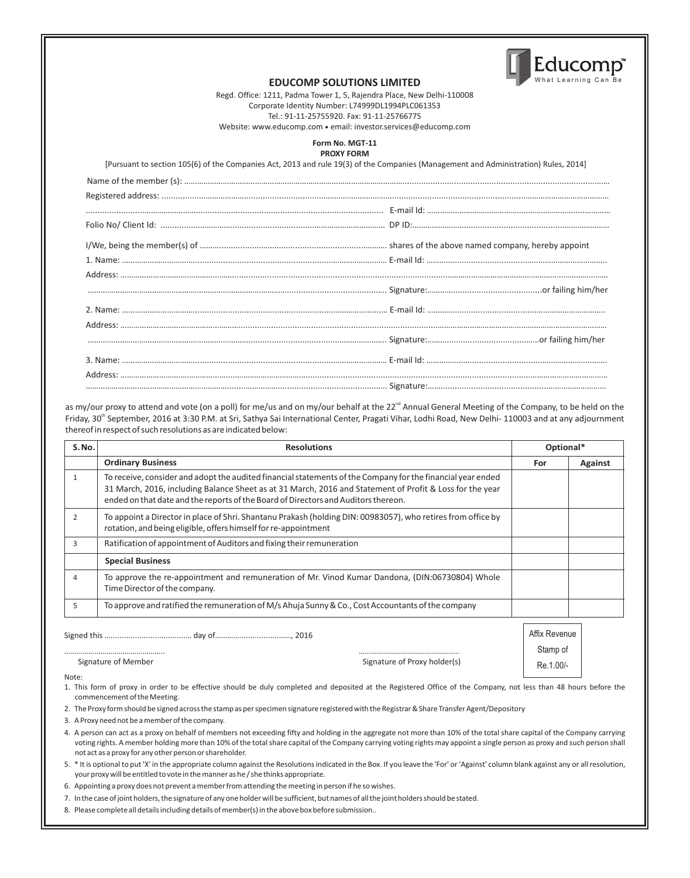

#### **EDUCOMP SOLUTIONS LIMITED**

Regd. Office: 1211, Padma Tower 1, 5, Rajendra Place, New Delhi-110008 Corporate Identity Number: L74999DL1994PLC061353 Tel.: 91-11-25755920. Fax: 91-11-25766775 Website: www.educomp.com ● email: investor.services@educomp.com

#### **Form No. MGT-11 PROXY FORM**

[Pursuant to section 105(6) of the Companies Act, 2013 and rule 19(3) of the Companies (Management and Administration) Rules, 2014]

as my/our proxy to attend and vote (on a poll) for me/us and on my/our behalf at the 22<sup>nd</sup> Annual General Meeting of the Company, to be held on the Friday, 30<sup>th</sup> September, 2016 at 3:30 P.M. at Sri, Sathya Sai International Center, Pragati Vihar, Lodhi Road, New Delhi- 110003 and at any adjournment thereof in respect of such resolutions as are indicated below:

| S.No.          | <b>Resolutions</b>                                                                                                                                                                                                                                                                                            | Optional*     |                |
|----------------|---------------------------------------------------------------------------------------------------------------------------------------------------------------------------------------------------------------------------------------------------------------------------------------------------------------|---------------|----------------|
|                | <b>Ordinary Business</b>                                                                                                                                                                                                                                                                                      | For           | <b>Against</b> |
| $\mathbf{1}$   | To receive, consider and adopt the audited financial statements of the Company for the financial year ended<br>31 March, 2016, including Balance Sheet as at 31 March, 2016 and Statement of Profit & Loss for the year<br>ended on that date and the reports of the Board of Directors and Auditors thereon. |               |                |
| $\overline{2}$ | To appoint a Director in place of Shri. Shantanu Prakash (holding DIN: 00983057), who retires from office by<br>rotation, and being eligible, offers himself for re-appointment                                                                                                                               |               |                |
| 3              | Ratification of appointment of Auditors and fixing their remuneration                                                                                                                                                                                                                                         |               |                |
|                | <b>Special Business</b>                                                                                                                                                                                                                                                                                       |               |                |
| 4              | To approve the re-appointment and remuneration of Mr. Vinod Kumar Dandona, (DIN:06730804) Whole<br>Time Director of the company.                                                                                                                                                                              |               |                |
| 5.             | To approve and ratified the remuneration of M/s Ahuja Sunny & Co., Cost Accountants of the company                                                                                                                                                                                                            |               |                |
| Signed this    | 2016<br>day of                                                                                                                                                                                                                                                                                                | Affix Revenue |                |

|                     |                              | <b>Affix Revent</b> |
|---------------------|------------------------------|---------------------|
|                     |                              | Stamp of            |
| Signature of Member | Signature of Proxy holder(s) | $1.00/-$<br>Re.     |

Note:

- 1. This form of proxy in order to be effective should be duly completed and deposited at the Registered Office of the Company, not less than 48 hours before the commencement of the Meeting.
- 2. The Proxy form should be signed across the stamp as per specimen signature registered with the Registrar & Share Transfer Agent/Depository
- 3. A Proxy need not be a member of the company.
- 4. A person can act as a proxy on behalf of members not exceeding fifty and holding in the aggregate not more than 10% of the total share capital of the Company carrying voting rights. A member holding more than 10% of the total share capital of the Company carrying voting rights may appoint a single person as proxy and such person shall not act as a proxy for any other person or shareholder.
- 5. \* It is optional to put 'X' in the appropriate column against the Resolutions indicated in the Box. If you leave the 'For' or 'Against' column blank against any or all resolution, your proxy will be entitled to vote in the manner as he / she thinks appropriate.
- 6. Appointing a proxy does not prevent a member from attending the meeting in person if he so wishes.
- 7. In the case of joint holders, the signature of any one holder will be sufficient, but names of all the joint holders should be stated.
- . 8. Please complete all details including details of member(s) in the abovebox before submission.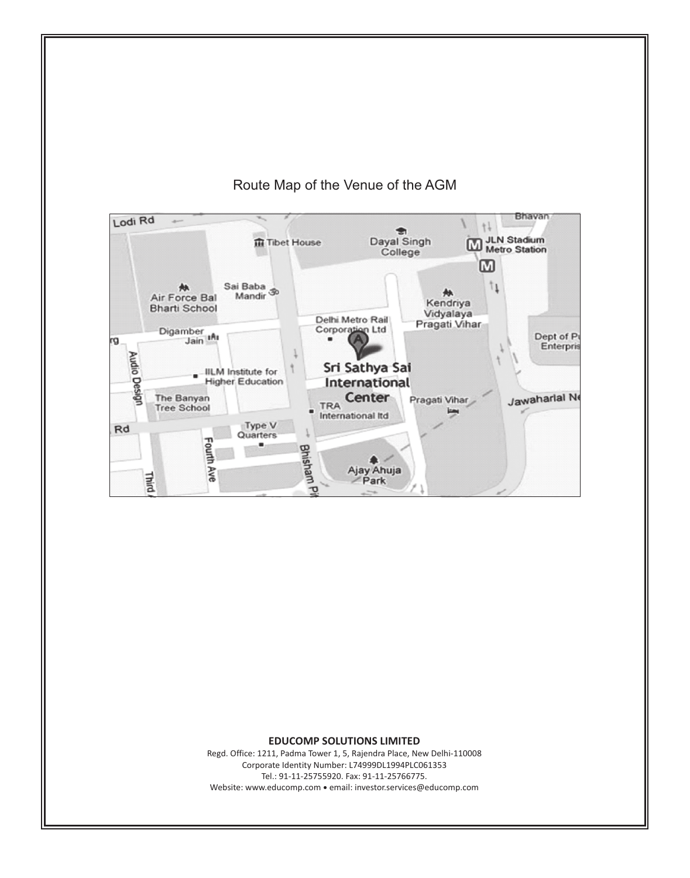

# Route Map of the Venue of the AGM

#### **EDUCOMP SOLUTIONS LIMITED**

Regd. Office: 1211, Padma Tower 1, 5, Rajendra Place, New Delhi-110008 Corporate Identity Number: L74999DL1994PLC061353 Tel.: 91-11-25755920. Fax: 91-11-25766775. Website: www.educomp.com ● email: investor.services@educomp.com